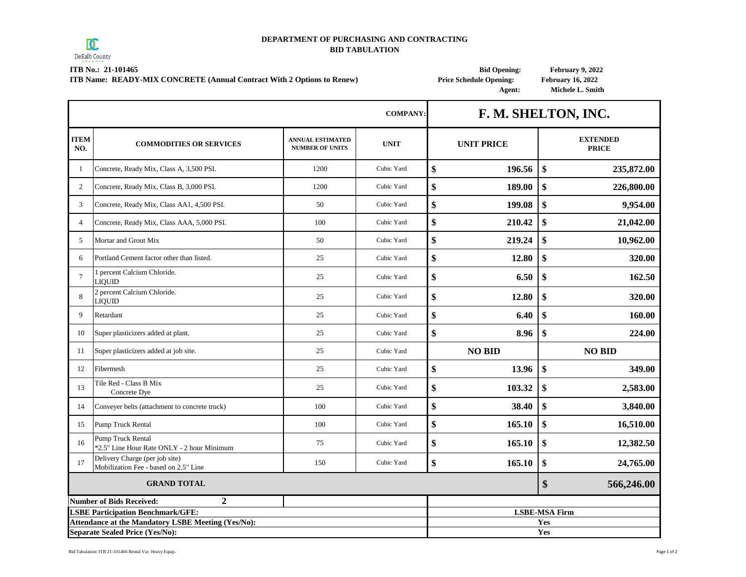

 $\blacksquare$ 

## **DEPARTMENT OF PURCHASING AND CONTRACTING BID TABULATION**

**ITB No.: 21-101465 Bid Opening: February 9, 2022**

**ITB Name: READY-MIX CONCRETE (Annual Contract With 2 Options to Renew) Price Schedule Opening: February 16, 2022**

т

 **Agent: Michele L. Smith**

٦

|                    |                                                                                                       |                                                   | <b>COMPANY:</b> | F. M. SHELTON, INC.<br><b>UNIT PRICE</b> |        |                                 |
|--------------------|-------------------------------------------------------------------------------------------------------|---------------------------------------------------|-----------------|------------------------------------------|--------|---------------------------------|
| <b>ITEM</b><br>NO. | <b>COMMODITIES OR SERVICES</b>                                                                        | <b>ANNUAL ESTIMATED</b><br><b>NUMBER OF UNITS</b> | <b>UNIT</b>     |                                          |        | <b>EXTENDED</b><br><b>PRICE</b> |
| -1                 | Concrete, Ready Mix, Class A, 3,500 PSI.                                                              | 1200                                              | Cubic Yard      | \$                                       | 196.56 | \$<br>235,872.00                |
| $\overline{c}$     | Concrete, Ready Mix, Class B, 3,000 PSI.                                                              | 1200                                              | Cubic Yard      | \$                                       | 189.00 | \$<br>226,800.00                |
| 3                  | Concrete, Ready Mix, Class AA1, 4,500 PSI.                                                            | 50                                                | Cubic Yard      | \$                                       | 199.08 | \$<br>9,954.00                  |
| $\overline{4}$     | Concrete, Ready Mix, Class AAA, 5,000 PSI.                                                            | 100                                               | Cubic Yard      | \$                                       | 210.42 | \$<br>21,042.00                 |
| 5                  | Mortar and Grout Mix                                                                                  | 50                                                | Cubic Yard      | \$                                       | 219.24 | \$<br>10,962.00                 |
| 6                  | Portland Cement factor other than listed.                                                             | 25                                                | Cubic Yard      | \$                                       | 12.80  | \$<br>320.00                    |
| $\overline{7}$     | 1 percent Calcium Chloride.<br><b>LIQUID</b>                                                          | 25                                                | Cubic Yard      | \$                                       | 6.50   | \$<br>162.50                    |
| 8                  | 2 percent Calcium Chloride.<br><b>LIQUID</b>                                                          | 25                                                | Cubic Yard      | \$                                       | 12.80  | \$<br>320.00                    |
| 9                  | Retardant                                                                                             | 25                                                | Cubic Yard      | \$                                       | 6.40   | \$<br>160.00                    |
| 10                 | Super plasticizers added at plant.                                                                    | 25                                                | Cubic Yard      | \$                                       | 8.96   | \$<br>224.00                    |
| 11                 | Super plasticizers added at job site.                                                                 | 25                                                | Cubic Yard      | <b>NO BID</b>                            |        | <b>NO BID</b>                   |
| 12                 | Fibermesh                                                                                             | 25                                                | Cubic Yard      | \$                                       | 13.96  | \$<br>349.00                    |
| 13                 | Tile Red - Class B Mix<br>Concrete Dye                                                                | 25                                                | Cubic Yard      | \$                                       | 103.32 | \$<br>2,583.00                  |
| 14                 | Conveyer belts (attachment to concrete truck)                                                         | 100                                               | Cubic Yard      | \$                                       | 38.40  | \$<br>3,840.00                  |
| 15                 | <b>Pump Truck Rental</b>                                                                              | 100                                               | Cubic Yard      | \$                                       | 165.10 | \$<br>16,510.00                 |
| 16                 | <b>Pump Truck Rental</b><br>*2.5" Line Hour Rate ONLY - 2 hour Minimum                                | 75                                                | Cubic Yard      | \$                                       | 165.10 | \$<br>12,382.50                 |
| 17                 | Delivery Charge (per job site)<br>Mobilization Fee - based on 2.5" Line                               | 150                                               | Cubic Yard      | \$                                       | 165.10 | \$<br>24,765.00                 |
|                    | <b>GRAND TOTAL</b>                                                                                    |                                                   |                 |                                          |        | \$<br>566,246.00                |
|                    | $\overline{2}$<br><b>Number of Bids Received:</b>                                                     |                                                   |                 |                                          |        |                                 |
|                    | <b>LSBE Participation Benchmark/GFE:</b><br><b>Attendance at the Mandatory LSBE Meeting (Yes/No):</b> |                                                   |                 |                                          |        | <b>LSBE-MSA Firm</b><br>Yes     |
|                    | <b>Separate Sealed Price (Yes/No):</b>                                                                |                                                   |                 |                                          |        | Yes                             |